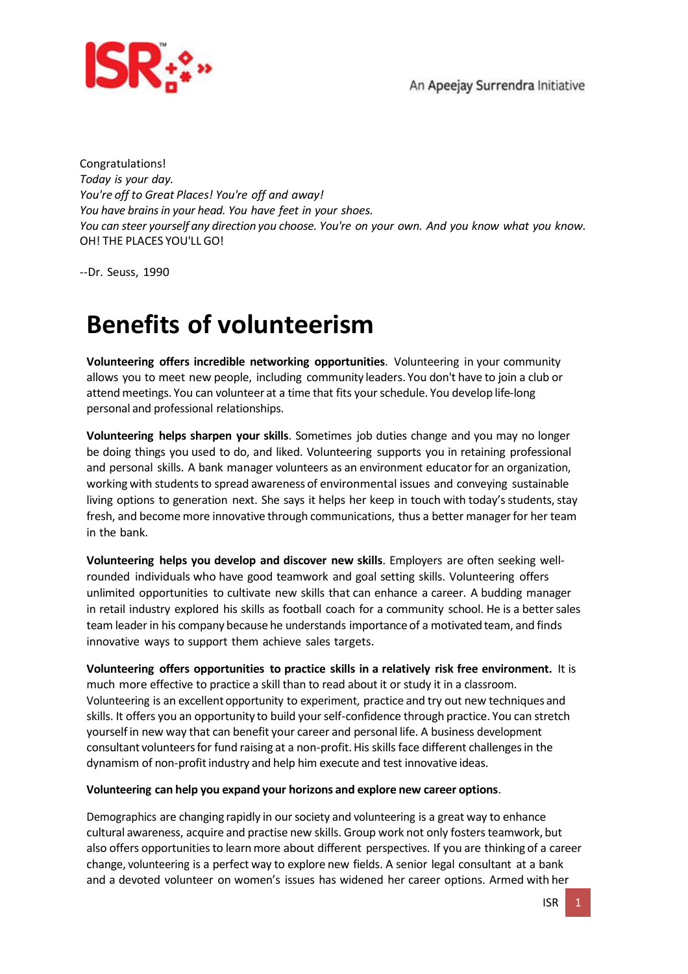

Congratulations! *Today is your day. You're off to Great Places! You're off and away! You have brainsin your head. You have feet in your shoes. You can steer yourself any direction you choose. You're on your own. And you know what you know.* OH! THE PLACES YOU'LL GO!

--Dr. Seuss, 1990

# **Benefits of volunteerism**

**Volunteering offers incredible networking opportunities**. Volunteering in your community allows you to meet new people, including community leaders. You don't have to join a club or attendmeetings. You can volunteer at a time that fits yourschedule. You develop life-long personal and professional relationships.

**Volunteering helps sharpen your skills**. Sometimes job duties change and you may no longer be doing things you used to do, and liked. Volunteering supports you in retaining professional and personal skills. A bank manager volunteers as an environment educatorfor an organization, working with students to spread awareness of environmental issues and conveying sustainable living options to generation next. She says it helps her keep in touch with today's students, stay fresh, and become more innovative through communications, thus a better managerfor her team in the bank.

**Volunteering helps you develop and discover new skills**. Employers are often seeking wellrounded individuals who have good teamwork and goal setting skills. Volunteering offers unlimited opportunities to cultivate new skills that can enhance a career. A budding manager in retail industry explored his skills as football coach for a community school. He is a bettersales team leader in his company because he understands importance of a motivated team, and finds innovative ways to support them achieve sales targets.

**Volunteering offers opportunities to practice skills in a relatively risk free environment.** It is much more effective to practice a skill than to read about it or study it in a classroom. Volunteering is an excellent opportunity to experiment, practice and try out new techniques and skills. It offers you an opportunity to build yourself-confidence through practice. You can stretch yourself in new way that can benefit your career and personal life. A business development consultant volunteers for fund raising at a non-profit. His skills face different challenges in the dynamism of non-profitindustry and help him execute and test innovative ideas.

#### **Volunteering can help you expand your horizons and explore new career options**.

Demographics are changing rapidly in oursociety and volunteering is a great way to enhance cultural awareness, acquire and practise new skills. Group work not only fostersteamwork, but also offers opportunities to learn more about different perspectives. If you are thinking of a career change, volunteering is a perfect way to explore new fields. A senior legal consultant at a bank and a devoted volunteer on women's issues has widened her career options. Armed with her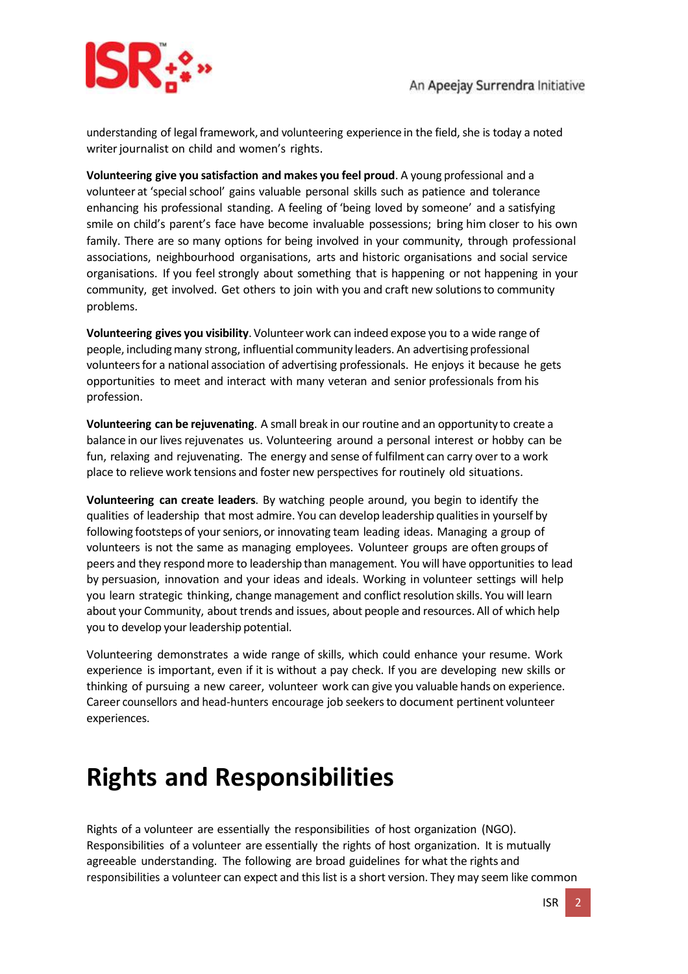

understanding of legal framework, and volunteering experience in the field, she is today a noted writer journalist on child and women's rights.

**Volunteering give you satisfaction and makes you feel proud**. A young professional and a volunteer at 'special school' gains valuable personal skills such as patience and tolerance enhancing his professional standing. A feeling of 'being loved by someone' and a satisfying smile on child's parent's face have become invaluable possessions; bring him closer to his own family. There are so many options for being involved in your community, through professional associations, neighbourhood organisations, arts and historic organisations and social service organisations. If you feel strongly about something that is happening or not happening in your community, get involved. Get others to join with you and craft new solutionsto community problems.

**Volunteering gives you visibility**.Volunteerwork can indeed expose you to a wide range of people, includingmany strong, influential community leaders. An advertising professional volunteersfor a national association of advertising professionals. He enjoys it because he gets opportunities to meet and interact with many veteran and senior professionals from his profession.

**Volunteering can be rejuvenating**. A small break in our routine and an opportunity to create a balance in our lives rejuvenates us. Volunteering around a personal interest or hobby can be fun, relaxing and rejuvenating. The energy and sense of fulfilment can carry over to a work place to relieve work tensions and foster new perspectives for routinely old situations.

**Volunteering can create leaders**. By watching people around, you begin to identify the qualities of leadership that most admire. You can develop leadership qualitiesin yourself by following footsteps of yourseniors, or innovating team leading ideas. Managing a group of volunteers is not the same as managing employees. Volunteer groups are often groups of peers and they respond more to leadership than management. You will have opportunities to lead by persuasion, innovation and your ideas and ideals. Working in volunteer settings will help you learn strategic thinking, change management and conflict resolution skills. You will learn about your Community, about trends and issues, about people and resources.All of which help you to develop your leadership potential.

Volunteering demonstrates a wide range of skills, which could enhance your resume. Work experience is important, even if it is without a pay check. If you are developing new skills or thinking of pursuing a new career, volunteer work can give you valuable hands on experience. Career counsellors and head-hunters encourage job seekersto document pertinent volunteer experiences.

### **Rights and Responsibilities**

Rights of a volunteer are essentially the responsibilities of host organization (NGO). Responsibilities of a volunteer are essentially the rights of host organization. It is mutually agreeable understanding. The following are broad guidelines for what the rights and responsibilities a volunteer can expect and this list is a short version. They may seem like common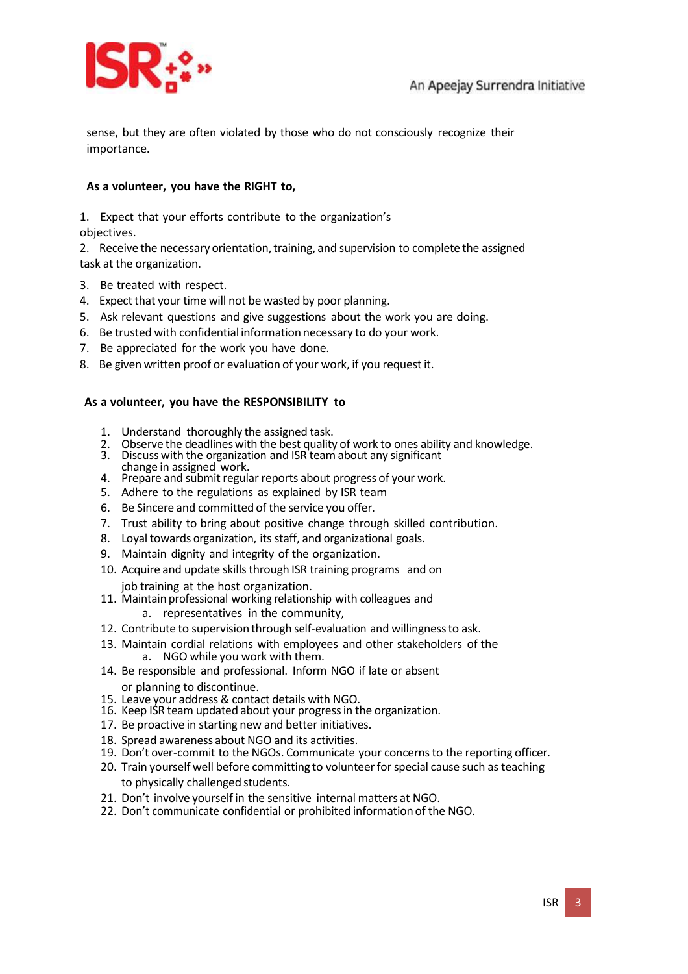

sense, but they are often violated by those who do not consciously recognize their importance.

#### **As a volunteer, you have the RIGHT to,**

1. Expect that your efforts contribute to the organization's objectives.

2. Receive the necessary orientation, training, and supervision to complete the assigned task at the organization.

- 3. Be treated with respect.
- 4. Expect that your time will not be wasted by poor planning.
- 5. Ask relevant questions and give suggestions about the work you are doing.
- 6. Be trusted with confidential information necessary to do your work.
- 7. Be appreciated for the work you have done.
- 8. Be given written proof or evaluation of your work, if you request it.

#### **As a volunteer, you have the RESPONSIBILITY to**

- 1. Understand thoroughly the assigned task.
- 2. Observe the deadlines with the best quality of work to ones ability and knowledge.
- 3. Discuss with the organization and ISR team about any significant
- change in assigned work. 4. Prepare and submit regular reports about progress of your work.
- 5. Adhere to the regulations as explained by ISR team
- 6. Be Sincere and committed of the service you offer.
- 7. Trust ability to bring about positive change through skilled contribution.
- 8. Loyal towards organization, its staff, and organizational goals.
- 9. Maintain dignity and integrity of the organization.
- 10. Acquire and update skills through ISR training programs and on
- job training at the host organization. 11. Maintain professional working relationship with colleagues and
	- a. representatives in the community,
- 12. Contribute to supervision through self-evaluation and willingnessto ask.
- 13. Maintain cordial relations with employees and other stakeholders of the a. NGO while you work with them.
- 14. Be responsible and professional. Inform NGO if late or absent or planning to discontinue.
- 15. Leave your address & contact details with NGO.
- 16. Keep ISR team updated about your progressin the organization.
- 17. Be proactive in starting new and better initiatives.
- 18. Spread awareness about NGO and its activities.
- 19. Don't over-commit to the NGOs. Communicate your concernsto the reporting officer.
- 20. Train yourself well before committing to volunteer for special cause such as teaching to physically challenged students.
- 21. Don't involve yourself in the sensitive internal matters at NGO.
- 22. Don't communicate confidential or prohibited information of the NGO.